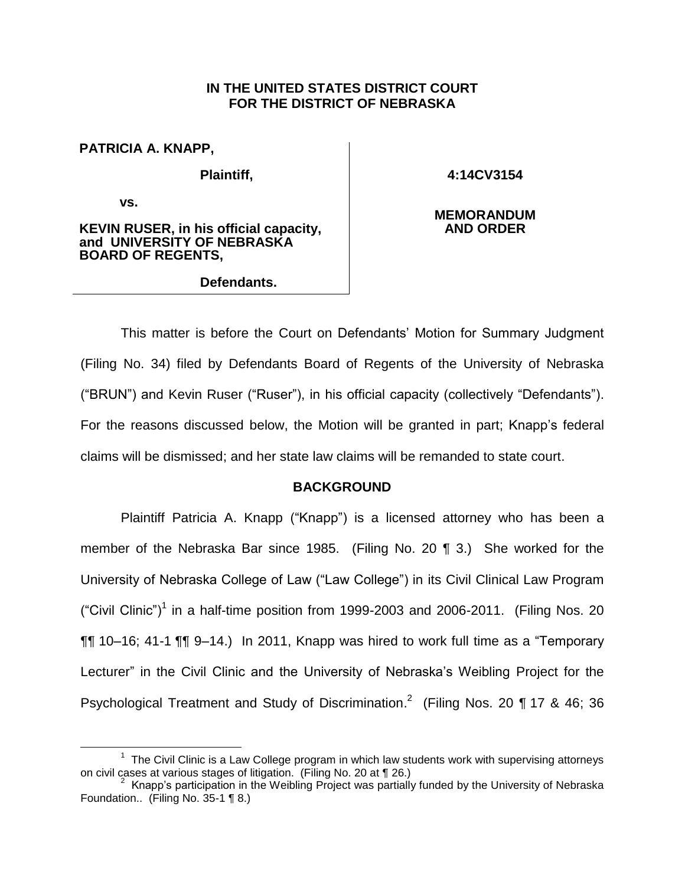## **IN THE UNITED STATES DISTRICT COURT FOR THE DISTRICT OF NEBRASKA**

**PATRICIA A. KNAPP,**

**Plaintiff,** 

**vs.** 

 $\overline{a}$ 

**4:14CV3154**

**KEVIN RUSER, in his official capacity, and UNIVERSITY OF NEBRASKA BOARD OF REGENTS,**

**Defendants.**

**MEMORANDUM AND ORDER**

This matter is before the Court on Defendants' Motion for Summary Judgment (Filing No. 34) filed by Defendants Board of Regents of the University of Nebraska ("BRUN") and Kevin Ruser ("Ruser"), in his official capacity (collectively "Defendants"). For the reasons discussed below, the Motion will be granted in part; Knapp's federal claims will be dismissed; and her state law claims will be remanded to state court.

# **BACKGROUND**

Plaintiff Patricia A. Knapp ("Knapp") is a licensed attorney who has been a member of the Nebraska Bar since 1985. (Filing No. 20 ¶ 3.) She worked for the University of Nebraska College of Law ("Law College") in its Civil Clinical Law Program ("Civil Clinic")<sup>1</sup> in a half-time position from 1999-2003 and 2006-2011. (Filing Nos. 20 ¶¶ 10–16; 41-1 ¶¶ 9–14.) In 2011, Knapp was hired to work full time as a "Temporary Lecturer" in the Civil Clinic and the University of Nebraska's Weibling Project for the Psychological Treatment and Study of Discrimination.<sup>2</sup> (Filing Nos. 20 ¶ 17 & 46; 36

 $1$  The Civil Clinic is a Law College program in which law students work with supervising attorneys on civil cases at various stages of litigation. (Filing No. 20 at ¶ 26.)

 $2$  Knapp's participation in the Weibling Project was partially funded by the University of Nebraska Foundation.. (Filing No. 35-1 ¶ 8.)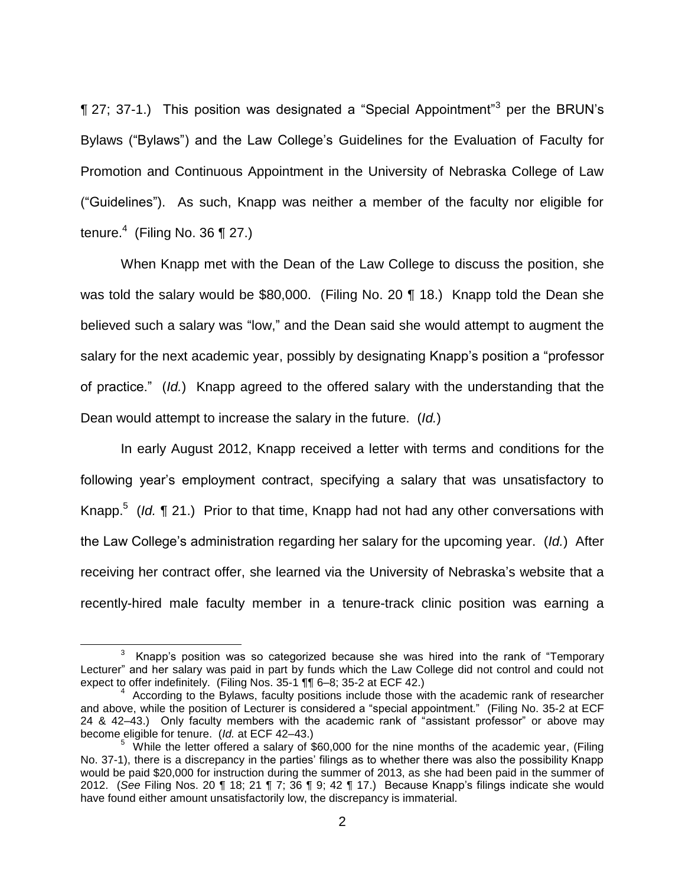$\P$  27; 37-1.) This position was designated a "Special Appointment"<sup>3</sup> per the BRUN's Bylaws ("Bylaws") and the Law College's Guidelines for the Evaluation of Faculty for Promotion and Continuous Appointment in the University of Nebraska College of Law ("Guidelines"). As such, Knapp was neither a member of the faculty nor eligible for tenure. $4$  (Filing No. 36 ¶ 27.)

When Knapp met with the Dean of the Law College to discuss the position, she was told the salary would be \$80,000. (Filing No. 20 ¶ 18.) Knapp told the Dean she believed such a salary was "low," and the Dean said she would attempt to augment the salary for the next academic year, possibly by designating Knapp's position a "professor of practice." (*Id.*) Knapp agreed to the offered salary with the understanding that the Dean would attempt to increase the salary in the future. (*Id.*)

In early August 2012, Knapp received a letter with terms and conditions for the following year's employment contract, specifying a salary that was unsatisfactory to Knapp.<sup>5</sup> (*Id.* 121.) Prior to that time, Knapp had not had any other conversations with the Law College's administration regarding her salary for the upcoming year. (*Id.*) After receiving her contract offer, she learned via the University of Nebraska's website that a recently-hired male faculty member in a tenure-track clinic position was earning a

 $3$  Knapp's position was so categorized because she was hired into the rank of "Temporary Lecturer" and her salary was paid in part by funds which the Law College did not control and could not expect to offer indefinitely. (Filing Nos. 35-1 ¶¶ 6–8; 35-2 at ECF 42.)

<sup>&</sup>lt;sup>4</sup> According to the Bylaws, faculty positions include those with the academic rank of researcher and above, while the position of Lecturer is considered a "special appointment." (Filing No. 35-2 at ECF 24 & 42–43.) Only faculty members with the academic rank of "assistant professor" or above may become eligible for tenure. (*Id.* at ECF 42–43.)

 $5\,$  While the letter offered a salary of \$60,000 for the nine months of the academic year, (Filing No. 37-1), there is a discrepancy in the parties' filings as to whether there was also the possibility Knapp would be paid \$20,000 for instruction during the summer of 2013, as she had been paid in the summer of 2012. (*See* Filing Nos. 20 ¶ 18; 21 ¶ 7; 36 ¶ 9; 42 ¶ 17.) Because Knapp's filings indicate she would have found either amount unsatisfactorily low, the discrepancy is immaterial.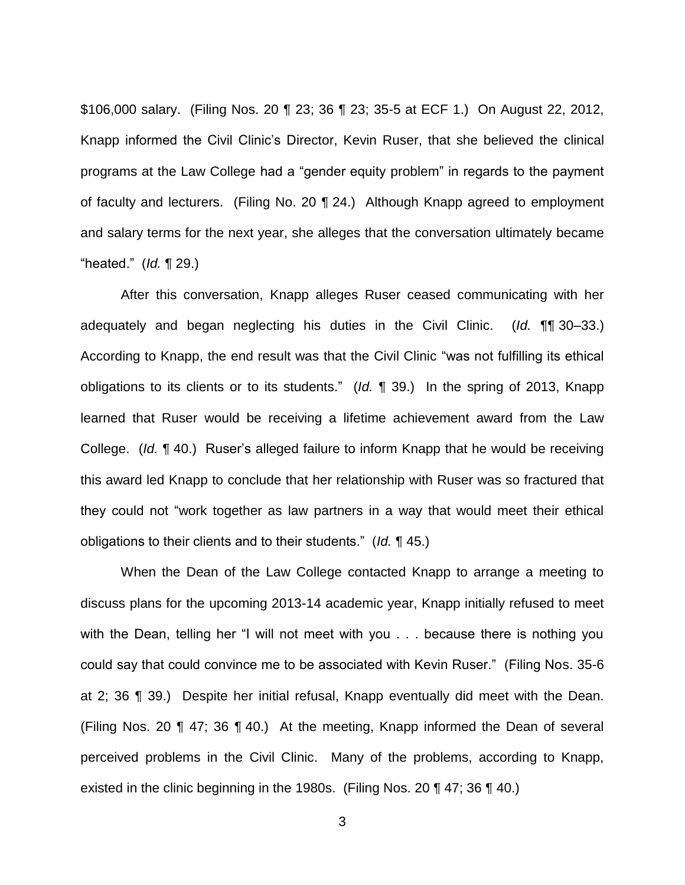\$106,000 salary. (Filing Nos. 20 ¶ 23; 36 ¶ 23; 35-5 at ECF 1.) On August 22, 2012, Knapp informed the Civil Clinic's Director, Kevin Ruser, that she believed the clinical programs at the Law College had a "gender equity problem" in regards to the payment of faculty and lecturers. (Filing No. 20 ¶ 24.) Although Knapp agreed to employment and salary terms for the next year, she alleges that the conversation ultimately became "heated." (*Id.* ¶ 29.)

After this conversation, Knapp alleges Ruser ceased communicating with her adequately and began neglecting his duties in the Civil Clinic. (*Id.* ¶¶ 30–33.) According to Knapp, the end result was that the Civil Clinic "was not fulfilling its ethical obligations to its clients or to its students." (*Id.* ¶ 39.) In the spring of 2013, Knapp learned that Ruser would be receiving a lifetime achievement award from the Law College. (*Id.* ¶ 40.) Ruser's alleged failure to inform Knapp that he would be receiving this award led Knapp to conclude that her relationship with Ruser was so fractured that they could not "work together as law partners in a way that would meet their ethical obligations to their clients and to their students." (*Id.* ¶ 45.)

When the Dean of the Law College contacted Knapp to arrange a meeting to discuss plans for the upcoming 2013-14 academic year, Knapp initially refused to meet with the Dean, telling her "I will not meet with you . . . because there is nothing you could say that could convince me to be associated with Kevin Ruser." (Filing Nos. 35-6 at 2; 36 ¶ 39.) Despite her initial refusal, Knapp eventually did meet with the Dean. (Filing Nos. 20 ¶ 47; 36 ¶ 40.) At the meeting, Knapp informed the Dean of several perceived problems in the Civil Clinic. Many of the problems, according to Knapp, existed in the clinic beginning in the 1980s. (Filing Nos. 20 ¶ 47; 36 ¶ 40.)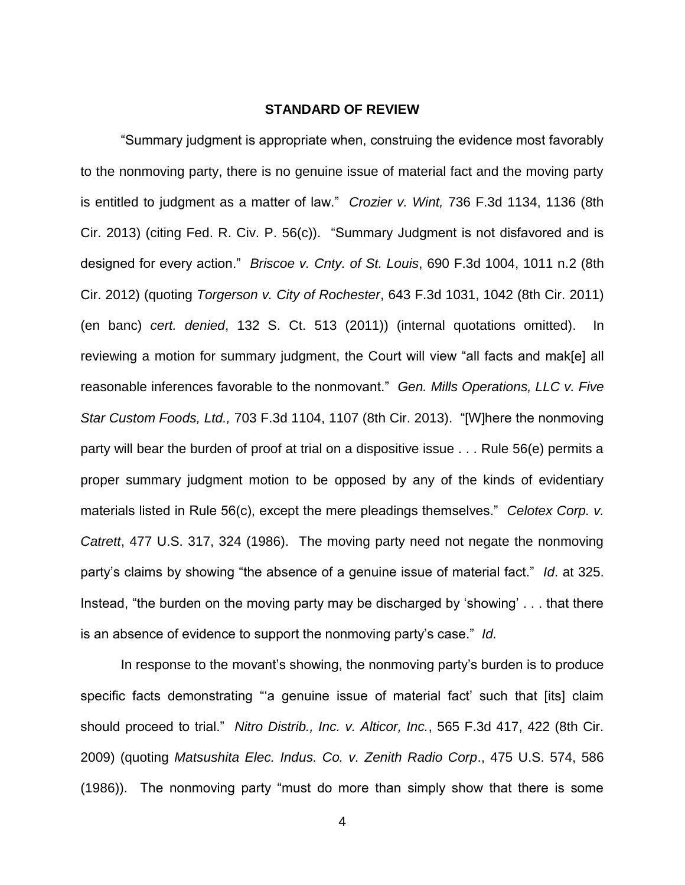#### **STANDARD OF REVIEW**

"Summary judgment is appropriate when, construing the evidence most favorably to the nonmoving party, there is no genuine issue of material fact and the moving party is entitled to judgment as a matter of law." *Crozier v. Wint,* 736 F.3d 1134, 1136 (8th Cir. 2013) (citing Fed. R. Civ. P. 56(c)). "Summary Judgment is not disfavored and is designed for every action." *Briscoe v. Cnty. of St. Louis*, 690 F.3d 1004, 1011 n.2 (8th Cir. 2012) (quoting *Torgerson v. City of Rochester*, 643 F.3d 1031, 1042 (8th Cir. 2011) (en banc) *cert. denied*, 132 S. Ct. 513 (2011)) (internal quotations omitted). In reviewing a motion for summary judgment, the Court will view "all facts and mak[e] all reasonable inferences favorable to the nonmovant." *Gen. Mills Operations, LLC v. Five Star Custom Foods, Ltd.,* 703 F.3d 1104, 1107 (8th Cir. 2013). "[W]here the nonmoving party will bear the burden of proof at trial on a dispositive issue . . . Rule 56(e) permits a proper summary judgment motion to be opposed by any of the kinds of evidentiary materials listed in Rule 56(c), except the mere pleadings themselves." *Celotex Corp. v. Catrett*, 477 U.S. 317, 324 (1986). The moving party need not negate the nonmoving party's claims by showing "the absence of a genuine issue of material fact." *Id*. at 325. Instead, "the burden on the moving party may be discharged by 'showing' . . . that there is an absence of evidence to support the nonmoving party's case." *Id.*

In response to the movant's showing, the nonmoving party's burden is to produce specific facts demonstrating "'a genuine issue of material fact' such that [its] claim should proceed to trial." *Nitro Distrib., Inc. v. Alticor, Inc.*, 565 F.3d 417, 422 (8th Cir. 2009) (quoting *Matsushita Elec. Indus. Co. v. Zenith Radio Corp*., 475 U.S. 574, 586 (1986)). The nonmoving party "must do more than simply show that there is some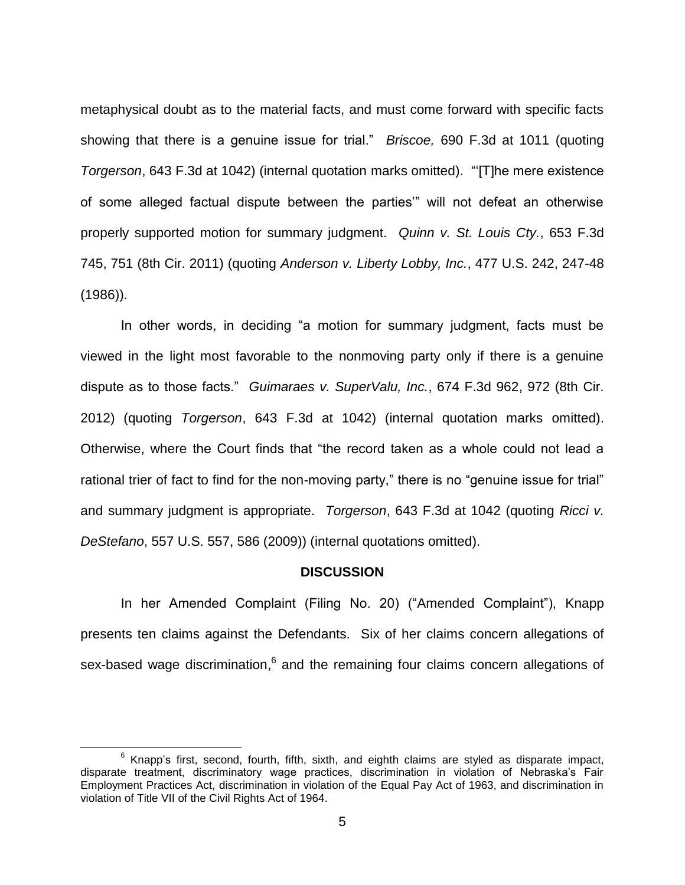metaphysical doubt as to the material facts, and must come forward with specific facts showing that there is a genuine issue for trial." *Briscoe,* 690 F.3d at 1011 (quoting *Torgerson*, 643 F.3d at 1042) (internal quotation marks omitted). "'[T]he mere existence of some alleged factual dispute between the parties'" will not defeat an otherwise properly supported motion for summary judgment. *Quinn v. St. Louis Cty.*, 653 F.3d 745, 751 (8th Cir. 2011) (quoting *Anderson v. Liberty Lobby, Inc.*, 477 U.S. 242, 247-48 (1986)).

In other words, in deciding "a motion for summary judgment, facts must be viewed in the light most favorable to the nonmoving party only if there is a genuine dispute as to those facts." *Guimaraes v. SuperValu, Inc.*, 674 F.3d 962, 972 (8th Cir. 2012) (quoting *Torgerson*, 643 F.3d at 1042) (internal quotation marks omitted). Otherwise, where the Court finds that "the record taken as a whole could not lead a rational trier of fact to find for the non-moving party," there is no "genuine issue for trial" and summary judgment is appropriate. *Torgerson*, 643 F.3d at 1042 (quoting *Ricci v. DeStefano*, 557 U.S. 557, 586 (2009)) (internal quotations omitted).

#### **DISCUSSION**

In her Amended Complaint (Filing No. 20) ("Amended Complaint"), Knapp presents ten claims against the Defendants. Six of her claims concern allegations of sex-based wage discrimination,  $6$  and the remaining four claims concern allegations of

 $6$  Knapp's first, second, fourth, fifth, sixth, and eighth claims are styled as disparate impact, disparate treatment, discriminatory wage practices, discrimination in violation of Nebraska's Fair Employment Practices Act, discrimination in violation of the Equal Pay Act of 1963, and discrimination in violation of Title VII of the Civil Rights Act of 1964.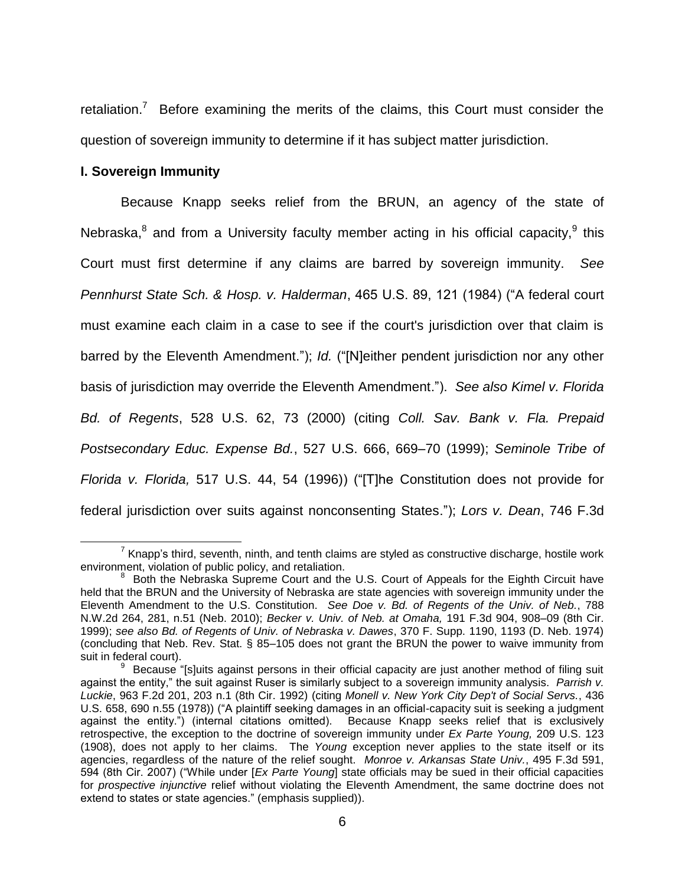retaliation.<sup>7</sup> Before examining the merits of the claims, this Court must consider the question of sovereign immunity to determine if it has subject matter jurisdiction.

## **I. Sovereign Immunity**

Because Knapp seeks relief from the BRUN, an agency of the state of Nebraska, $^8$  and from a University faculty member acting in his official capacity, $^9$  this Court must first determine if any claims are barred by sovereign immunity. *See Pennhurst State Sch. & Hosp. v. Halderman*, 465 U.S. 89, 121 (1984) ("A federal court must examine each claim in a case to see if the court's jurisdiction over that claim is barred by the Eleventh Amendment."); *Id.* ("[N]either pendent jurisdiction nor any other basis of jurisdiction may override the Eleventh Amendment."). *See also Kimel v. Florida Bd. of Regents*, 528 U.S. 62, 73 (2000) (citing *Coll. Sav. Bank v. Fla. Prepaid Postsecondary Educ. Expense Bd.*, 527 U.S. 666, 669–70 (1999); *Seminole Tribe of Florida v. Florida,* 517 U.S. 44, 54 (1996)) ("[T]he Constitution does not provide for federal jurisdiction over suits against nonconsenting States."); *Lors v. Dean*, 746 F.3d

 $\overline{a}$  $^7$  Knapp's third, seventh, ninth, and tenth claims are styled as constructive discharge, hostile work environment, violation of public policy, and retaliation.

 $8$  Both the Nebraska Supreme Court and the U.S. Court of Appeals for the Eighth Circuit have held that the BRUN and the University of Nebraska are state agencies with sovereign immunity under the Eleventh Amendment to the U.S. Constitution. *See Doe v. Bd. of Regents of the Univ. of Neb.*, 788 N.W.2d 264, 281, n.51 (Neb. 2010); *Becker v. Univ. of Neb. at Omaha,* 191 F.3d 904, 908–09 (8th Cir. 1999); *see also Bd. of Regents of Univ. of Nebraska v. Dawes*, 370 F. Supp. 1190, 1193 (D. Neb. 1974) (concluding that Neb. Rev. Stat. § 85–105 does not grant the BRUN the power to waive immunity from suit in federal court).

<sup>&</sup>lt;sup>9</sup> Because "[s]uits against persons in their official capacity are just another method of filing suit against the entity," the suit against Ruser is similarly subject to a sovereign immunity analysis. *Parrish v. Luckie*, 963 F.2d 201, 203 n.1 (8th Cir. 1992) (citing *Monell v. New York City Dep't of Social Servs.*, 436 U.S. 658, 690 n.55 (1978)) ("A plaintiff seeking damages in an official-capacity suit is seeking a judgment against the entity.") (internal citations omitted). Because Knapp seeks relief that is exclusively retrospective, the exception to the doctrine of sovereign immunity under *Ex Parte Young,* 209 U.S. 123 (1908), does not apply to her claims. The *Young* exception never applies to the state itself or its agencies, regardless of the nature of the relief sought. *Monroe v. Arkansas State Univ.*, 495 F.3d 591, 594 (8th Cir. 2007) ("While under [*Ex Parte Young*] state officials may be sued in their official capacities for *prospective injunctive* relief without violating the Eleventh Amendment, the same doctrine does not extend to states or state agencies." (emphasis supplied)).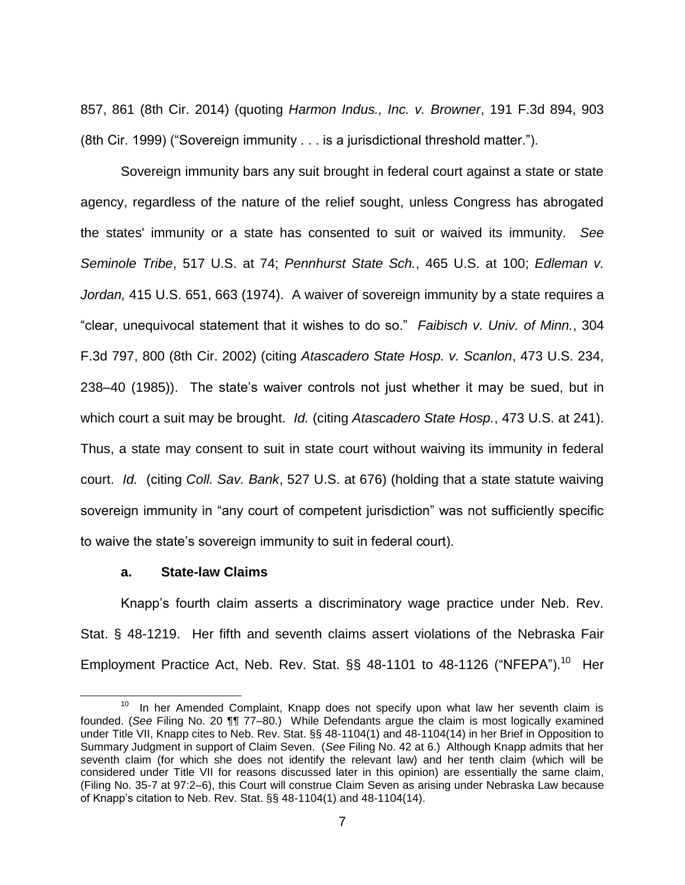857, 861 (8th Cir. 2014) (quoting *Harmon Indus., Inc. v. Browner*, 191 F.3d 894, 903 (8th Cir. 1999) ("Sovereign immunity . . . is a jurisdictional threshold matter.").

Sovereign immunity bars any suit brought in federal court against a state or state agency, regardless of the nature of the relief sought, unless Congress has abrogated the states' immunity or a state has consented to suit or waived its immunity. *See Seminole Tribe*, 517 U.S. at 74; *Pennhurst State Sch.*, 465 U.S. at 100; *Edleman v. Jordan,* 415 U.S. 651, 663 (1974). A waiver of sovereign immunity by a state requires a "clear, unequivocal statement that it wishes to do so." *Faibisch v. Univ. of Minn.*, 304 F.3d 797, 800 (8th Cir. 2002) (citing *Atascadero State Hosp. v. Scanlon*, 473 U.S. 234, 238–40 (1985)). The state's waiver controls not just whether it may be sued, but in which court a suit may be brought. *Id.* (citing *Atascadero State Hosp.*, 473 U.S. at 241). Thus, a state may consent to suit in state court without waiving its immunity in federal court. *Id.* (citing *Coll. Sav. Bank*, 527 U.S. at 676) (holding that a state statute waiving sovereign immunity in "any court of competent jurisdiction" was not sufficiently specific to waive the state's sovereign immunity to suit in federal court).

## **a. State-law Claims**

Knapp's fourth claim asserts a discriminatory wage practice under Neb. Rev. Stat. § 48-1219. Her fifth and seventh claims assert violations of the Nebraska Fair Employment Practice Act, Neb. Rev. Stat. §§ 48-1101 to 48-1126 ("NFEPA").<sup>10</sup> Her

 $\overline{a}$ <sup>10</sup> In her Amended Complaint, Knapp does not specify upon what law her seventh claim is founded. (*See* Filing No. 20 ¶¶ 77–80.) While Defendants argue the claim is most logically examined under Title VII, Knapp cites to Neb. Rev. Stat. §§ 48-1104(1) and 48-1104(14) in her Brief in Opposition to Summary Judgment in support of Claim Seven. (*See* Filing No. 42 at 6.) Although Knapp admits that her seventh claim (for which she does not identify the relevant law) and her tenth claim (which will be considered under Title VII for reasons discussed later in this opinion) are essentially the same claim, (Filing No. 35-7 at 97:2–6), this Court will construe Claim Seven as arising under Nebraska Law because of Knapp's citation to Neb. Rev. Stat. §§ 48-1104(1) and 48-1104(14).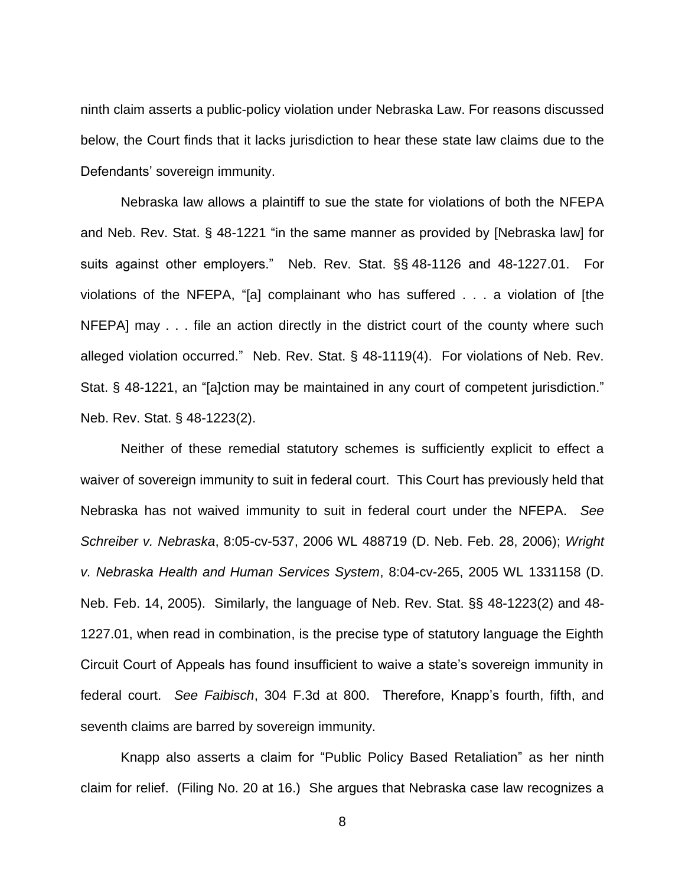ninth claim asserts a public-policy violation under Nebraska Law. For reasons discussed below, the Court finds that it lacks jurisdiction to hear these state law claims due to the Defendants' sovereign immunity.

Nebraska law allows a plaintiff to sue the state for violations of both the NFEPA and Neb. Rev. Stat. § 48-1221 "in the same manner as provided by [Nebraska law] for suits against other employers." Neb. Rev. Stat. §§ 48-1126 and 48-1227.01. For violations of the NFEPA, "[a] complainant who has suffered . . . a violation of [the NFEPA] may . . . file an action directly in the district court of the county where such alleged violation occurred." Neb. Rev. Stat. § 48-1119(4). For violations of Neb. Rev. Stat. § 48-1221, an "[a]ction may be maintained in any court of competent jurisdiction." Neb. Rev. Stat. § 48-1223(2).

Neither of these remedial statutory schemes is sufficiently explicit to effect a waiver of sovereign immunity to suit in federal court. This Court has previously held that Nebraska has not waived immunity to suit in federal court under the NFEPA. *See Schreiber v. Nebraska*, 8:05-cv-537, 2006 WL 488719 (D. Neb. Feb. 28, 2006); *Wright v. Nebraska Health and Human Services System*, 8:04-cv-265, 2005 WL 1331158 (D. Neb. Feb. 14, 2005).Similarly, the language of Neb. Rev. Stat. §§ 48-1223(2) and 48- 1227.01, when read in combination, is the precise type of statutory language the Eighth Circuit Court of Appeals has found insufficient to waive a state's sovereign immunity in federal court. *See Faibisch*, 304 F.3d at 800. Therefore, Knapp's fourth, fifth, and seventh claims are barred by sovereign immunity.

Knapp also asserts a claim for "Public Policy Based Retaliation" as her ninth claim for relief. (Filing No. 20 at 16.) She argues that Nebraska case law recognizes a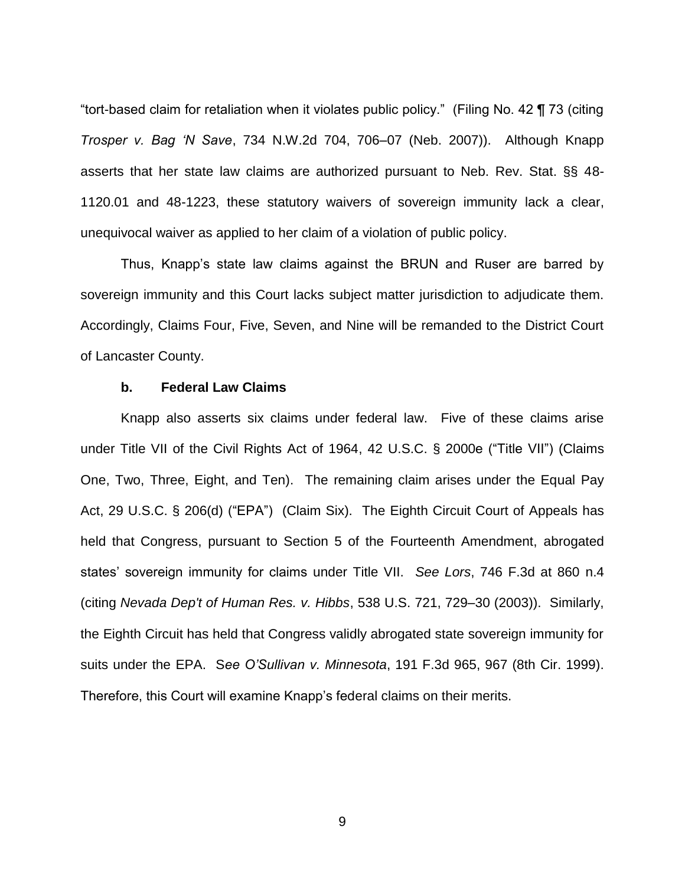"tort-based claim for retaliation when it violates public policy." (Filing No. 42 ¶ 73 (citing *Trosper v. Bag 'N Save*, 734 N.W.2d 704, 706–07 (Neb. 2007)). Although Knapp asserts that her state law claims are authorized pursuant to Neb. Rev. Stat. §§ 48- 1120.01 and 48-1223, these statutory waivers of sovereign immunity lack a clear, unequivocal waiver as applied to her claim of a violation of public policy.

Thus, Knapp's state law claims against the BRUN and Ruser are barred by sovereign immunity and this Court lacks subject matter jurisdiction to adjudicate them. Accordingly, Claims Four, Five, Seven, and Nine will be remanded to the District Court of Lancaster County.

# **b. Federal Law Claims**

Knapp also asserts six claims under federal law. Five of these claims arise under Title VII of the Civil Rights Act of 1964, 42 U.S.C. § 2000e ("Title VII") (Claims One, Two, Three, Eight, and Ten). The remaining claim arises under the Equal Pay Act, 29 U.S.C. § 206(d) ("EPA") (Claim Six). The Eighth Circuit Court of Appeals has held that Congress, pursuant to Section 5 of the Fourteenth Amendment, abrogated states' sovereign immunity for claims under Title VII. *See Lors*, 746 F.3d at 860 n.4 (citing *Nevada Dep't of Human Res. v. Hibbs*, 538 U.S. 721, 729–30 (2003)). Similarly, the Eighth Circuit has held that Congress validly abrogated state sovereign immunity for suits under the EPA. S*ee O'Sullivan v. Minnesota*, 191 F.3d 965, 967 (8th Cir. 1999). Therefore, this Court will examine Knapp's federal claims on their merits.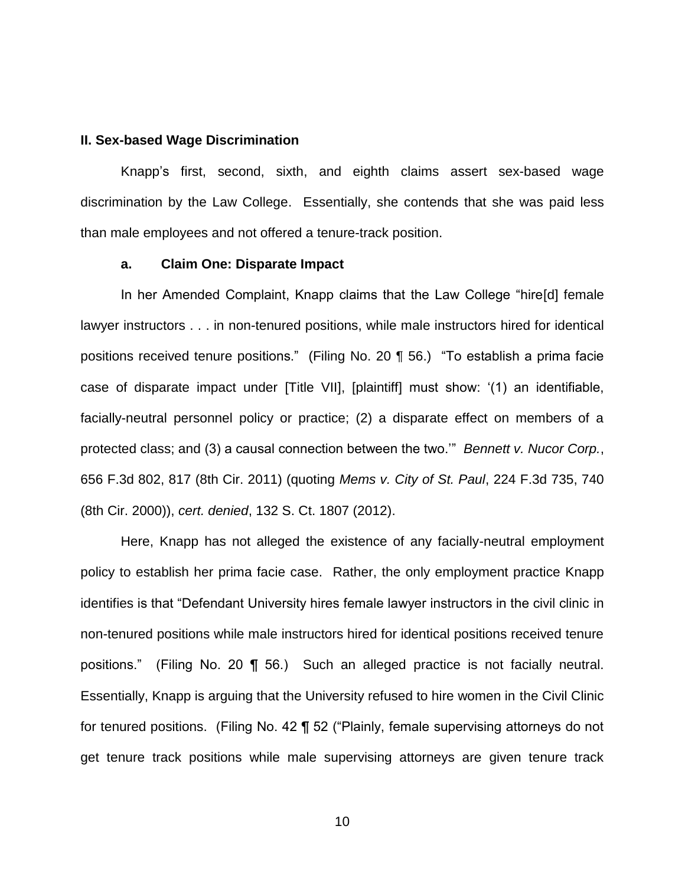#### **II. Sex-based Wage Discrimination**

Knapp's first, second, sixth, and eighth claims assert sex-based wage discrimination by the Law College. Essentially, she contends that she was paid less than male employees and not offered a tenure-track position.

#### **a. Claim One: Disparate Impact**

In her Amended Complaint, Knapp claims that the Law College "hire[d] female lawyer instructors . . . in non-tenured positions, while male instructors hired for identical positions received tenure positions." (Filing No. 20 ¶ 56.) "To establish a prima facie case of disparate impact under [Title VII], [plaintiff] must show: '(1) an identifiable, facially-neutral personnel policy or practice; (2) a disparate effect on members of a protected class; and (3) a causal connection between the two.'" *Bennett v. Nucor Corp.*, 656 F.3d 802, 817 (8th Cir. 2011) (quoting *Mems v. City of St. Paul*, 224 F.3d 735, 740 (8th Cir. 2000)), *cert. denied*, 132 S. Ct. 1807 (2012).

Here, Knapp has not alleged the existence of any facially-neutral employment policy to establish her prima facie case. Rather, the only employment practice Knapp identifies is that "Defendant University hires female lawyer instructors in the civil clinic in non-tenured positions while male instructors hired for identical positions received tenure positions." (Filing No. 20 ¶ 56.) Such an alleged practice is not facially neutral. Essentially, Knapp is arguing that the University refused to hire women in the Civil Clinic for tenured positions. (Filing No. 42 ¶ 52 ("Plainly, female supervising attorneys do not get tenure track positions while male supervising attorneys are given tenure track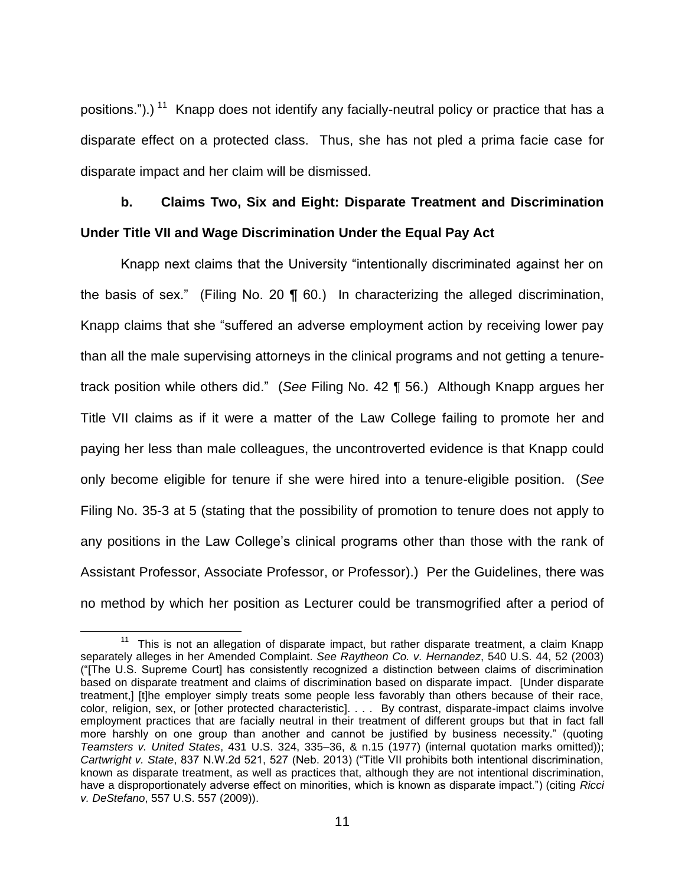positions.").)<sup>11</sup> Knapp does not identify any facially-neutral policy or practice that has a disparate effect on a protected class. Thus, she has not pled a prima facie case for disparate impact and her claim will be dismissed.

# **b. Claims Two, Six and Eight: Disparate Treatment and Discrimination Under Title VII and Wage Discrimination Under the Equal Pay Act**

Knapp next claims that the University "intentionally discriminated against her on the basis of sex." (Filing No. 20 ¶ 60.) In characterizing the alleged discrimination, Knapp claims that she "suffered an adverse employment action by receiving lower pay than all the male supervising attorneys in the clinical programs and not getting a tenuretrack position while others did." (*See* Filing No. 42 ¶ 56.) Although Knapp argues her Title VII claims as if it were a matter of the Law College failing to promote her and paying her less than male colleagues, the uncontroverted evidence is that Knapp could only become eligible for tenure if she were hired into a tenure-eligible position. (*See* Filing No. 35-3 at 5 (stating that the possibility of promotion to tenure does not apply to any positions in the Law College's clinical programs other than those with the rank of Assistant Professor, Associate Professor, or Professor).) Per the Guidelines, there was no method by which her position as Lecturer could be transmogrified after a period of

<sup>&</sup>lt;sup>11</sup> This is not an allegation of disparate impact, but rather disparate treatment, a claim Knapp separately alleges in her Amended Complaint. *See Raytheon Co. v. Hernandez*, 540 U.S. 44, 52 (2003) ("[The U.S. Supreme Court] has consistently recognized a distinction between claims of discrimination based on disparate treatment and claims of discrimination based on disparate impact. [Under disparate treatment,] [t]he employer simply treats some people less favorably than others because of their race, color, religion, sex, or [other protected characteristic]. . . . By contrast, disparate-impact claims involve employment practices that are facially neutral in their treatment of different groups but that in fact fall more harshly on one group than another and cannot be justified by business necessity." (quoting *Teamsters v. United States*, 431 U.S. 324, 335–36, & n.15 (1977) (internal quotation marks omitted)); *Cartwright v. State*, 837 N.W.2d 521, 527 (Neb. 2013) ("Title VII prohibits both intentional discrimination, known as disparate treatment, as well as practices that, although they are not intentional discrimination, have a disproportionately adverse effect on minorities, which is known as disparate impact.") (citing *Ricci v. DeStefano*, 557 U.S. 557 (2009)).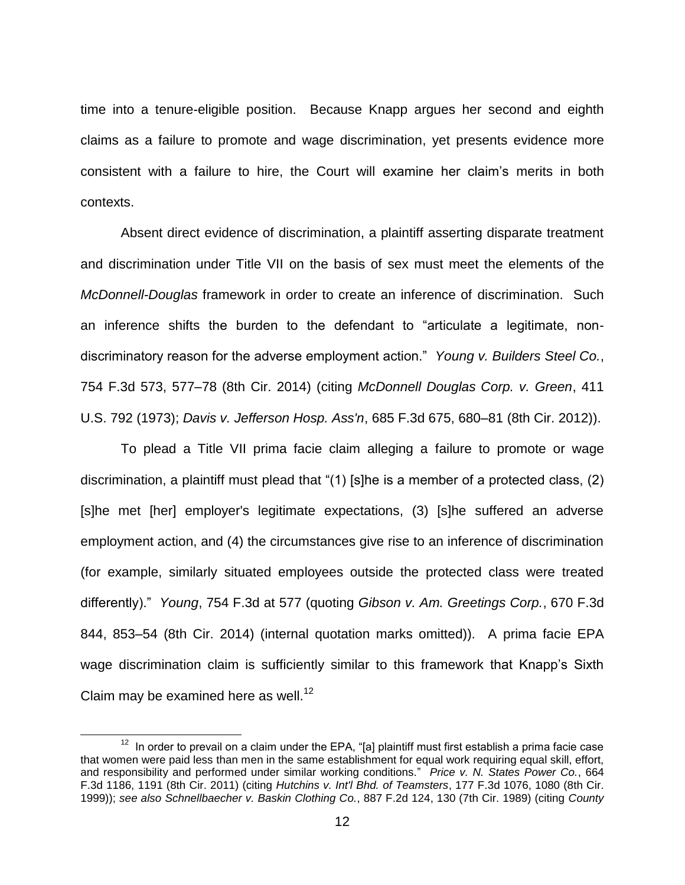time into a tenure-eligible position. Because Knapp argues her second and eighth claims as a failure to promote and wage discrimination, yet presents evidence more consistent with a failure to hire, the Court will examine her claim's merits in both contexts.

Absent direct evidence of discrimination, a plaintiff asserting disparate treatment and discrimination under Title VII on the basis of sex must meet the elements of the *McDonnell-Douglas* framework in order to create an inference of discrimination. Such an inference shifts the burden to the defendant to "articulate a legitimate, nondiscriminatory reason for the adverse employment action." *Young v. Builders Steel Co.*, 754 F.3d 573, 577–78 (8th Cir. 2014) (citing *McDonnell Douglas Corp. v. Green*, 411 U.S. 792 (1973); *Davis v. Jefferson Hosp. Ass'n*, 685 F.3d 675, 680–81 (8th Cir. 2012)).

To plead a Title VII prima facie claim alleging a failure to promote or wage discrimination, a plaintiff must plead that "(1) [s]he is a member of a protected class, (2) [s]he met [her] employer's legitimate expectations, (3) [s]he suffered an adverse employment action, and (4) the circumstances give rise to an inference of discrimination (for example, similarly situated employees outside the protected class were treated differently)." *Young*, 754 F.3d at 577 (quoting *Gibson v. Am. Greetings Corp.*, 670 F.3d 844, 853–54 (8th Cir. 2014) (internal quotation marks omitted)). A prima facie EPA wage discrimination claim is sufficiently similar to this framework that Knapp's Sixth Claim may be examined here as well.<sup>12</sup>

 $12$  In order to prevail on a claim under the EPA, "[a] plaintiff must first establish a prima facie case that women were paid less than men in the same establishment for equal work requiring equal skill, effort, and responsibility and performed under similar working conditions." *Price v. N. States Power Co.*, 664 F.3d 1186, 1191 (8th Cir. 2011) (citing *Hutchins v. Int'l Bhd. of Teamsters*, 177 F.3d 1076, 1080 (8th Cir. 1999)); *see also Schnellbaecher v. Baskin Clothing Co.*, 887 F.2d 124, 130 (7th Cir. 1989) (citing *County*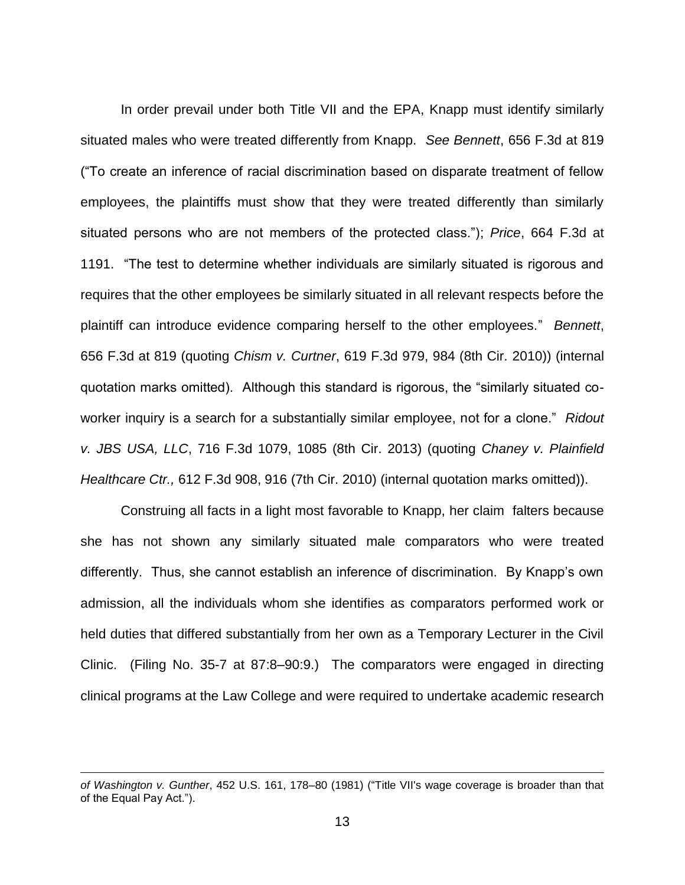In order prevail under both Title VII and the EPA, Knapp must identify similarly situated males who were treated differently from Knapp. *See Bennett*, 656 F.3d at 819 ("To create an inference of racial discrimination based on disparate treatment of fellow employees, the plaintiffs must show that they were treated differently than similarly situated persons who are not members of the protected class."); *Price*, 664 F.3d at 1191. "The test to determine whether individuals are similarly situated is rigorous and requires that the other employees be similarly situated in all relevant respects before the plaintiff can introduce evidence comparing herself to the other employees." *Bennett*, 656 F.3d at 819 (quoting *Chism v. Curtner*, 619 F.3d 979, 984 (8th Cir. 2010)) (internal quotation marks omitted). Although this standard is rigorous, the "similarly situated coworker inquiry is a search for a substantially similar employee, not for a clone." *Ridout v. JBS USA, LLC*, 716 F.3d 1079, 1085 (8th Cir. 2013) (quoting *Chaney v. Plainfield Healthcare Ctr.,* 612 F.3d 908, 916 (7th Cir. 2010) (internal quotation marks omitted)).

Construing all facts in a light most favorable to Knapp, her claim falters because she has not shown any similarly situated male comparators who were treated differently. Thus, she cannot establish an inference of discrimination. By Knapp's own admission, all the individuals whom she identifies as comparators performed work or held duties that differed substantially from her own as a Temporary Lecturer in the Civil Clinic. (Filing No. 35-7 at 87:8–90:9.) The comparators were engaged in directing clinical programs at the Law College and were required to undertake academic research

*of Washington v. Gunther*, 452 U.S. 161, 178–80 (1981) ("Title VII's wage coverage is broader than that of the Equal Pay Act.").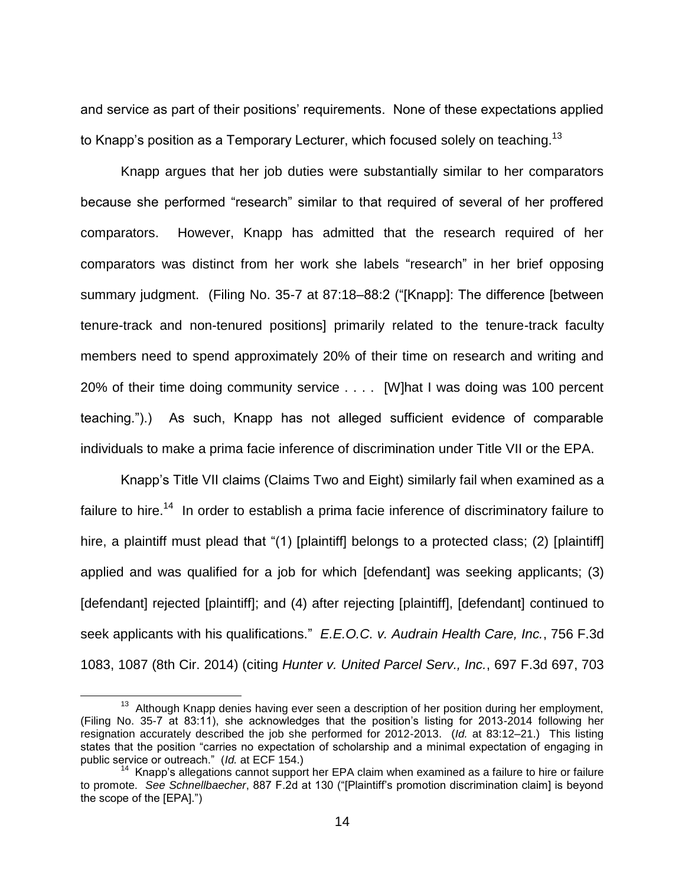and service as part of their positions' requirements. None of these expectations applied to Knapp's position as a Temporary Lecturer, which focused solely on teaching.<sup>13</sup>

Knapp argues that her job duties were substantially similar to her comparators because she performed "research" similar to that required of several of her proffered comparators. However, Knapp has admitted that the research required of her comparators was distinct from her work she labels "research" in her brief opposing summary judgment. (Filing No. 35-7 at 87:18–88:2 ("[Knapp]: The difference [between tenure-track and non-tenured positions] primarily related to the tenure-track faculty members need to spend approximately 20% of their time on research and writing and 20% of their time doing community service . . . . [W]hat I was doing was 100 percent teaching.").) As such, Knapp has not alleged sufficient evidence of comparable individuals to make a prima facie inference of discrimination under Title VII or the EPA.

Knapp's Title VII claims (Claims Two and Eight) similarly fail when examined as a failure to hire.<sup>14</sup> In order to establish a prima facie inference of discriminatory failure to hire, a plaintiff must plead that "(1) [plaintiff] belongs to a protected class; (2) [plaintiff] applied and was qualified for a job for which [defendant] was seeking applicants; (3) [defendant] rejected [plaintiff]; and (4) after rejecting [plaintiff], [defendant] continued to seek applicants with his qualifications." *E.E.O.C. v. Audrain Health Care, Inc.*, 756 F.3d 1083, 1087 (8th Cir. 2014) (citing *Hunter v. United Parcel Serv., Inc.*, 697 F.3d 697, 703

<sup>&</sup>lt;sup>13</sup> Although Knapp denies having ever seen a description of her position during her employment, (Filing No. 35-7 at 83:11), she acknowledges that the position's listing for 2013-2014 following her resignation accurately described the job she performed for 2012-2013. (*Id.* at 83:12–21.) This listing states that the position "carries no expectation of scholarship and a minimal expectation of engaging in public service or outreach." (*Id.* at ECF 154.)

 $14$  Knapp's allegations cannot support her EPA claim when examined as a failure to hire or failure to promote. *See Schnellbaecher*, 887 F.2d at 130 ("[Plaintiff's promotion discrimination claim] is beyond the scope of the [EPA].")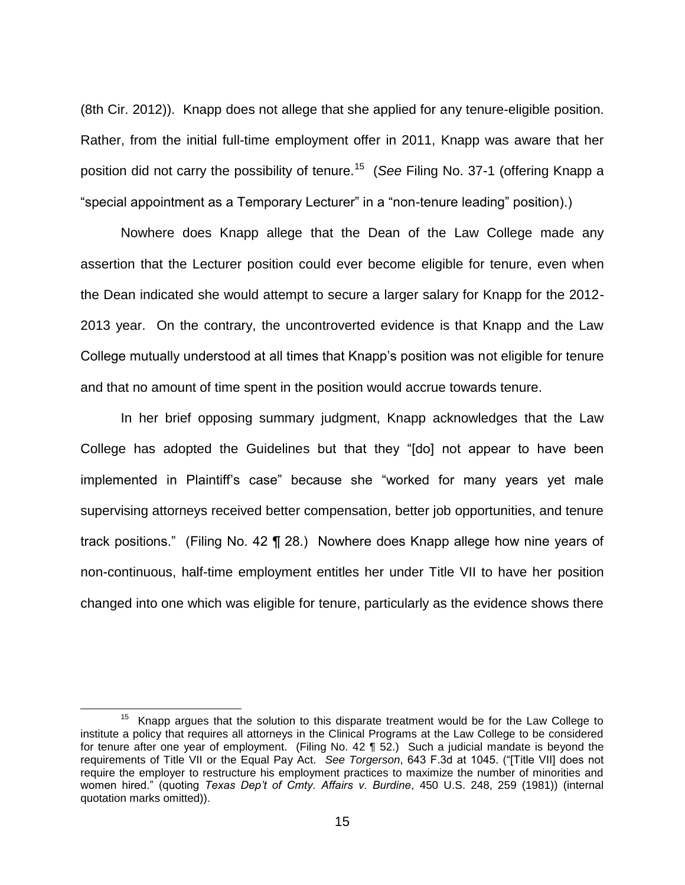(8th Cir. 2012)). Knapp does not allege that she applied for any tenure-eligible position. Rather, from the initial full-time employment offer in 2011, Knapp was aware that her position did not carry the possibility of tenure.<sup>15</sup> (*See* Filing No. 37-1 (offering Knapp a "special appointment as a Temporary Lecturer" in a "non-tenure leading" position).)

Nowhere does Knapp allege that the Dean of the Law College made any assertion that the Lecturer position could ever become eligible for tenure, even when the Dean indicated she would attempt to secure a larger salary for Knapp for the 2012- 2013 year. On the contrary, the uncontroverted evidence is that Knapp and the Law College mutually understood at all times that Knapp's position was not eligible for tenure and that no amount of time spent in the position would accrue towards tenure.

In her brief opposing summary judgment, Knapp acknowledges that the Law College has adopted the Guidelines but that they "[do] not appear to have been implemented in Plaintiff's case" because she "worked for many years yet male supervising attorneys received better compensation, better job opportunities, and tenure track positions." (Filing No. 42 ¶ 28.) Nowhere does Knapp allege how nine years of non-continuous, half-time employment entitles her under Title VII to have her position changed into one which was eligible for tenure, particularly as the evidence shows there

 $15$  Knapp argues that the solution to this disparate treatment would be for the Law College to institute a policy that requires all attorneys in the Clinical Programs at the Law College to be considered for tenure after one year of employment. (Filing No. 42 ¶ 52.) Such a judicial mandate is beyond the requirements of Title VII or the Equal Pay Act. *See Torgerson*, 643 F.3d at 1045. ("[Title VII] does not require the employer to restructure his employment practices to maximize the number of minorities and women hired." (quoting *Texas Dep't of Cmty. Affairs v. Burdine*, 450 U.S. 248, 259 (1981)) (internal quotation marks omitted)).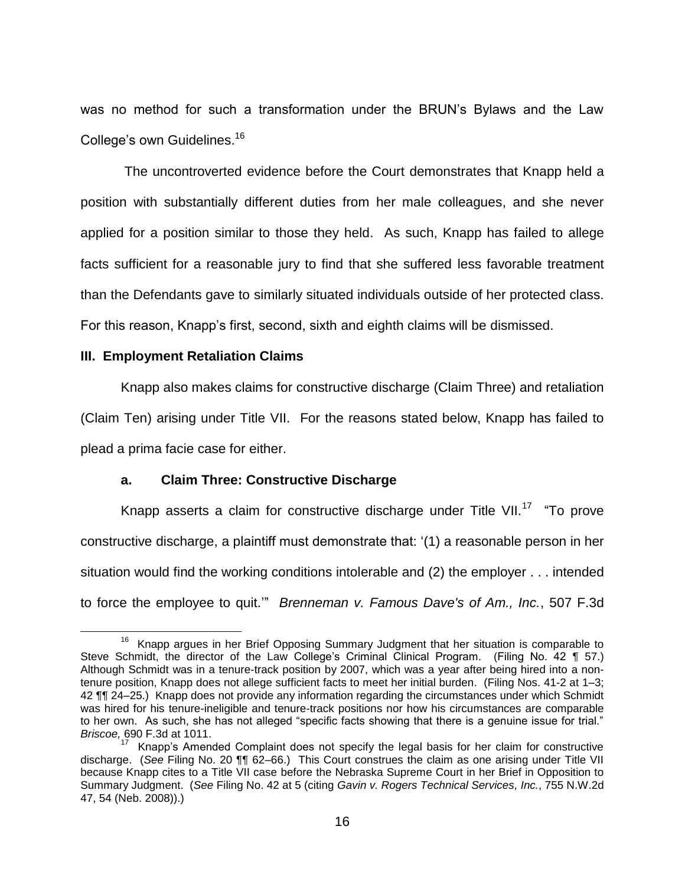was no method for such a transformation under the BRUN's Bylaws and the Law College's own Guidelines.<sup>16</sup>

The uncontroverted evidence before the Court demonstrates that Knapp held a position with substantially different duties from her male colleagues, and she never applied for a position similar to those they held. As such, Knapp has failed to allege facts sufficient for a reasonable jury to find that she suffered less favorable treatment than the Defendants gave to similarly situated individuals outside of her protected class. For this reason, Knapp's first, second, sixth and eighth claims will be dismissed.

## **III. Employment Retaliation Claims**

Knapp also makes claims for constructive discharge (Claim Three) and retaliation (Claim Ten) arising under Title VII. For the reasons stated below, Knapp has failed to plead a prima facie case for either.

## **a. Claim Three: Constructive Discharge**

Knapp asserts a claim for constructive discharge under Title VII.<sup>17</sup> "To prove constructive discharge, a plaintiff must demonstrate that: '(1) a reasonable person in her situation would find the working conditions intolerable and (2) the employer . . . intended to force the employee to quit.'" *Brenneman v. Famous Dave's of Am., Inc.*, 507 F.3d

 $\overline{a}$ <sup>16</sup> Knapp argues in her Brief Opposing Summary Judgment that her situation is comparable to Steve Schmidt, the director of the Law College's Criminal Clinical Program. (Filing No. 42 ¶ 57.) Although Schmidt was in a tenure-track position by 2007, which was a year after being hired into a nontenure position, Knapp does not allege sufficient facts to meet her initial burden. (Filing Nos. 41-2 at 1–3; 42 ¶¶ 24–25.) Knapp does not provide any information regarding the circumstances under which Schmidt was hired for his tenure-ineligible and tenure-track positions nor how his circumstances are comparable to her own. As such, she has not alleged "specific facts showing that there is a genuine issue for trial." *Briscoe,* 690 F.3d at 1011.

 $17$  Knapp's Amended Complaint does not specify the legal basis for her claim for constructive discharge. (*See* Filing No. 20 ¶¶ 62–66.) This Court construes the claim as one arising under Title VII because Knapp cites to a Title VII case before the Nebraska Supreme Court in her Brief in Opposition to Summary Judgment. (*See* Filing No. 42 at 5 (citing *Gavin v. Rogers Technical Services, Inc.*, 755 N.W.2d 47, 54 (Neb. 2008)).)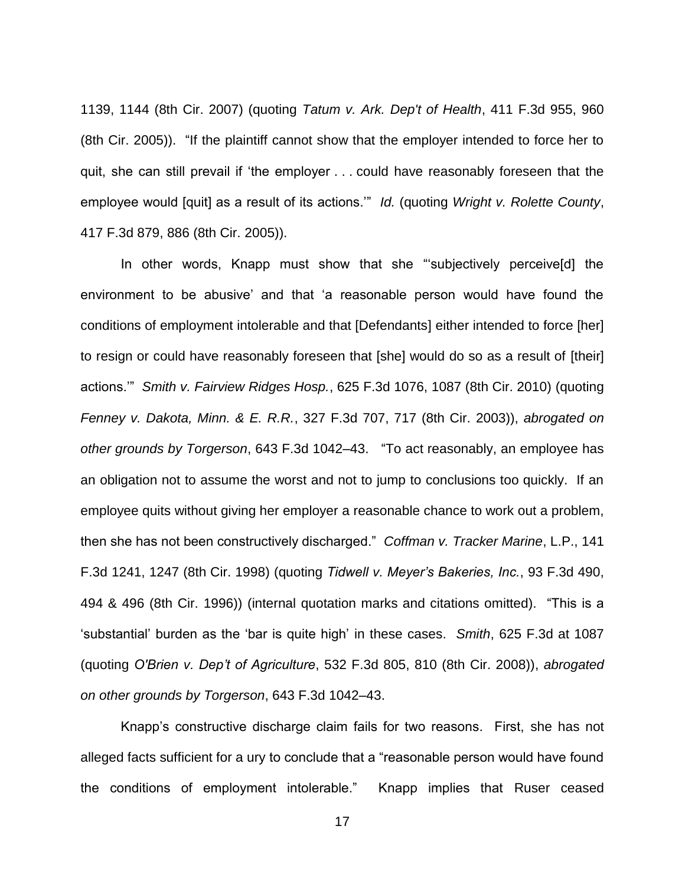1139, 1144 (8th Cir. 2007) (quoting *Tatum v. Ark. Dep't of Health*, 411 F.3d 955, 960 (8th Cir. 2005)). "If the plaintiff cannot show that the employer intended to force her to quit, she can still prevail if 'the employer . . . could have reasonably foreseen that the employee would [quit] as a result of its actions.'" *Id.* (quoting *Wright v. Rolette County*, 417 F.3d 879, 886 (8th Cir. 2005)).

In other words, Knapp must show that she "'subjectively perceive[d] the environment to be abusive' and that 'a reasonable person would have found the conditions of employment intolerable and that [Defendants] either intended to force [her] to resign or could have reasonably foreseen that [she] would do so as a result of [their] actions.'" *Smith v. Fairview Ridges Hosp.*, 625 F.3d 1076, 1087 (8th Cir. 2010) (quoting *Fenney v. Dakota, Minn. & E. R.R.*, 327 F.3d 707, 717 (8th Cir. 2003)), *abrogated on other grounds by Torgerson*, 643 F.3d 1042–43. "To act reasonably, an employee has an obligation not to assume the worst and not to jump to conclusions too quickly. If an employee quits without giving her employer a reasonable chance to work out a problem, then she has not been constructively discharged." *Coffman v. Tracker Marine*, L.P., 141 F.3d 1241, 1247 (8th Cir. 1998) (quoting *Tidwell v. Meyer's Bakeries, Inc.*, 93 F.3d 490, 494 & 496 (8th Cir. 1996)) (internal quotation marks and citations omitted). "This is a 'substantial' burden as the 'bar is quite high' in these cases. *Smith*, 625 F.3d at 1087 (quoting *O'Brien v. Dep't of Agriculture*, 532 F.3d 805, 810 (8th Cir. 2008)), *abrogated on other grounds by Torgerson*, 643 F.3d 1042–43.

Knapp's constructive discharge claim fails for two reasons. First, she has not alleged facts sufficient for a ury to conclude that a "reasonable person would have found the conditions of employment intolerable." Knapp implies that Ruser ceased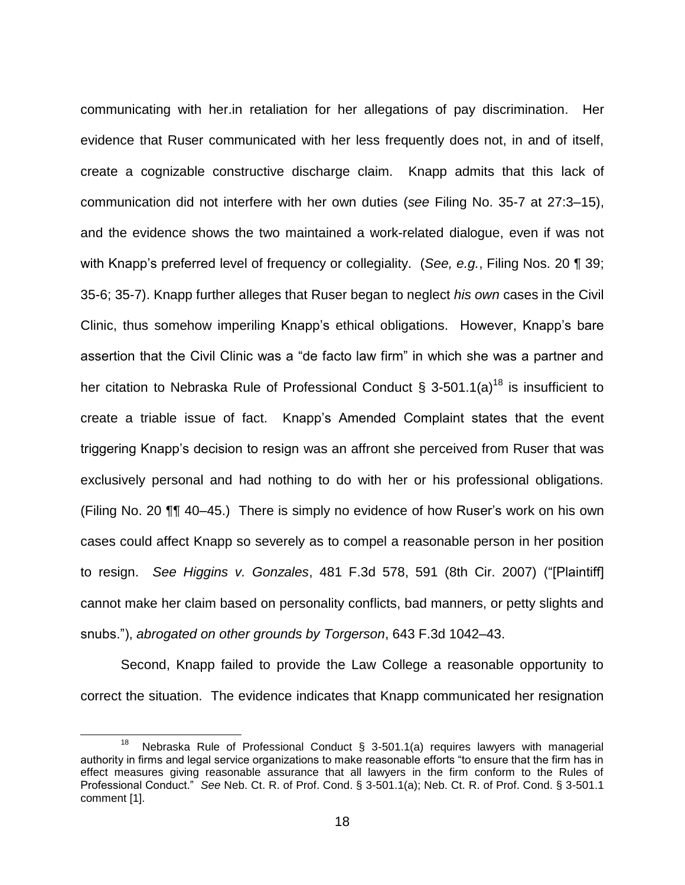communicating with her.in retaliation for her allegations of pay discrimination. Her evidence that Ruser communicated with her less frequently does not, in and of itself, create a cognizable constructive discharge claim. Knapp admits that this lack of communication did not interfere with her own duties (*see* Filing No. 35-7 at 27:3–15), and the evidence shows the two maintained a work-related dialogue, even if was not with Knapp's preferred level of frequency or collegiality. (*See, e.g.*, Filing Nos. 20 ¶ 39; 35-6; 35-7). Knapp further alleges that Ruser began to neglect *his own* cases in the Civil Clinic, thus somehow imperiling Knapp's ethical obligations. However, Knapp's bare assertion that the Civil Clinic was a "de facto law firm" in which she was a partner and her citation to Nebraska Rule of Professional Conduct § 3-501.1(a)<sup>18</sup> is insufficient to create a triable issue of fact. Knapp's Amended Complaint states that the event triggering Knapp's decision to resign was an affront she perceived from Ruser that was exclusively personal and had nothing to do with her or his professional obligations. (Filing No. 20 ¶¶ 40–45.) There is simply no evidence of how Ruser's work on his own cases could affect Knapp so severely as to compel a reasonable person in her position to resign. *See Higgins v. Gonzales*, 481 F.3d 578, 591 (8th Cir. 2007) ("[Plaintiff] cannot make her claim based on personality conflicts, bad manners, or petty slights and snubs."), *abrogated on other grounds by Torgerson*, 643 F.3d 1042–43.

Second, Knapp failed to provide the Law College a reasonable opportunity to correct the situation. The evidence indicates that Knapp communicated her resignation

<sup>18</sup> Nebraska Rule of Professional Conduct § 3-501.1(a) requires lawyers with managerial authority in firms and legal service organizations to make reasonable efforts "to ensure that the firm has in effect measures giving reasonable assurance that all lawyers in the firm conform to the Rules of Professional Conduct." *See* Neb. Ct. R. of Prof. Cond. § 3-501.1(a); Neb. Ct. R. of Prof. Cond. § 3-501.1 comment [1].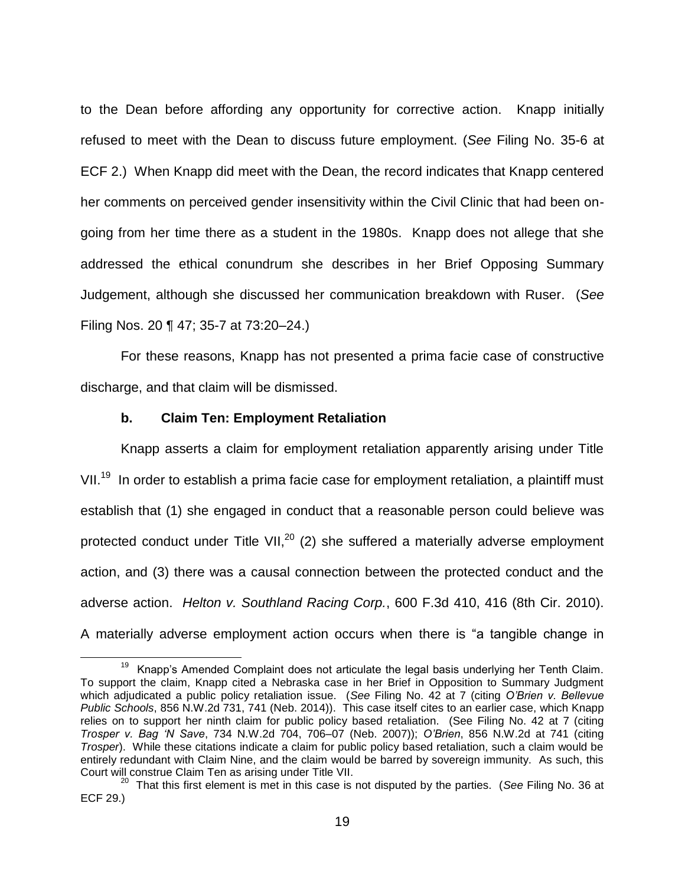to the Dean before affording any opportunity for corrective action. Knapp initially refused to meet with the Dean to discuss future employment. (*See* Filing No. 35-6 at ECF 2.) When Knapp did meet with the Dean, the record indicates that Knapp centered her comments on perceived gender insensitivity within the Civil Clinic that had been ongoing from her time there as a student in the 1980s. Knapp does not allege that she addressed the ethical conundrum she describes in her Brief Opposing Summary Judgement, although she discussed her communication breakdown with Ruser. (*See* Filing Nos. 20 ¶ 47; 35-7 at 73:20–24.)

For these reasons, Knapp has not presented a prima facie case of constructive discharge, and that claim will be dismissed.

## **b. Claim Ten: Employment Retaliation**

 $\overline{a}$ 

Knapp asserts a claim for employment retaliation apparently arising under Title VII.<sup>19</sup> In order to establish a prima facie case for employment retaliation, a plaintiff must establish that (1) she engaged in conduct that a reasonable person could believe was protected conduct under Title VII, $^{20}$  (2) she suffered a materially adverse employment action, and (3) there was a causal connection between the protected conduct and the adverse action. *Helton v. Southland Racing Corp.*, 600 F.3d 410, 416 (8th Cir. 2010). A materially adverse employment action occurs when there is "a tangible change in

<sup>&</sup>lt;sup>19</sup> Knapp's Amended Complaint does not articulate the legal basis underlying her Tenth Claim. To support the claim, Knapp cited a Nebraska case in her Brief in Opposition to Summary Judgment which adjudicated a public policy retaliation issue. (*See* Filing No. 42 at 7 (citing *O'Brien v. Bellevue Public Schools*, 856 N.W.2d 731, 741 (Neb. 2014)). This case itself cites to an earlier case, which Knapp relies on to support her ninth claim for public policy based retaliation. (See Filing No. 42 at 7 (citing *Trosper v. Bag 'N Save*, 734 N.W.2d 704, 706–07 (Neb. 2007)); *O'Brien*, 856 N.W.2d at 741 (citing *Trosper*). While these citations indicate a claim for public policy based retaliation, such a claim would be entirely redundant with Claim Nine, and the claim would be barred by sovereign immunity. As such, this Court will construe Claim Ten as arising under Title VII.

<sup>20</sup> That this first element is met in this case is not disputed by the parties. (*See* Filing No. 36 at ECF 29.)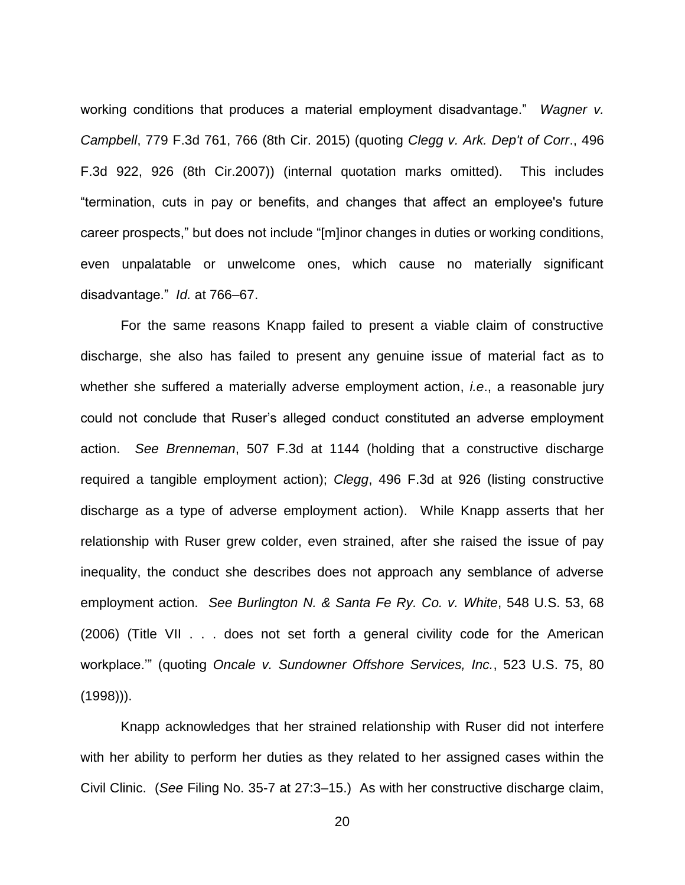working conditions that produces a material employment disadvantage." *Wagner v. Campbell*, 779 F.3d 761, 766 (8th Cir. 2015) (quoting *Clegg v. Ark. Dep't of Corr*., 496 F.3d 922, 926 (8th Cir.2007)) (internal quotation marks omitted). This includes "termination, cuts in pay or benefits, and changes that affect an employee's future career prospects," but does not include "[m]inor changes in duties or working conditions, even unpalatable or unwelcome ones, which cause no materially significant disadvantage." *Id.* at 766–67.

For the same reasons Knapp failed to present a viable claim of constructive discharge, she also has failed to present any genuine issue of material fact as to whether she suffered a materially adverse employment action, *i.e*., a reasonable jury could not conclude that Ruser's alleged conduct constituted an adverse employment action. *See Brenneman*, 507 F.3d at 1144 (holding that a constructive discharge required a tangible employment action); *Clegg*, 496 F.3d at 926 (listing constructive discharge as a type of adverse employment action). While Knapp asserts that her relationship with Ruser grew colder, even strained, after she raised the issue of pay inequality, the conduct she describes does not approach any semblance of adverse employment action. *See Burlington N. & Santa Fe Ry. Co. v. White*, 548 U.S. 53, 68 (2006) (Title VII . . . does not set forth a general civility code for the American workplace.'" (quoting *Oncale v. Sundowner Offshore Services, Inc.*, 523 U.S. 75, 80 (1998))).

Knapp acknowledges that her strained relationship with Ruser did not interfere with her ability to perform her duties as they related to her assigned cases within the Civil Clinic. (*See* Filing No. 35-7 at 27:3–15.) As with her constructive discharge claim,